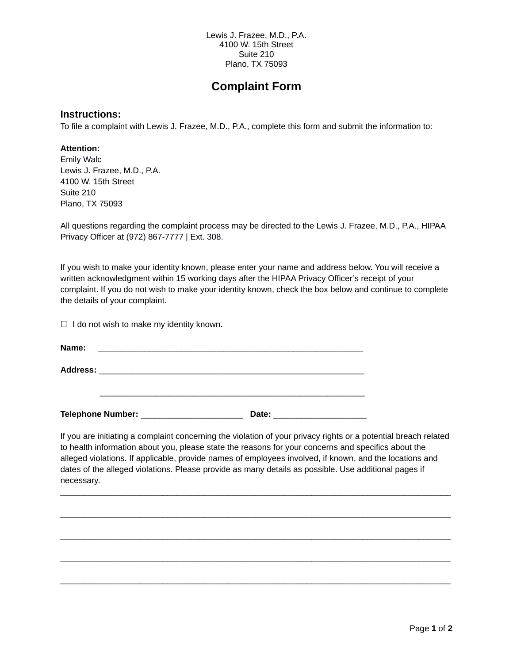Lewis J. Frazee, M.D., P.A. 4100 W. 15th Street Suite 210 Plano, TX 75093

## **Complaint Form**

## **Instructions:**

To file a complaint with Lewis J. Frazee, M.D., P.A., complete this form and submit the information to:

## **Attention:**

Emily Walc Lewis J. Frazee, M.D., P.A. 4100 W. 15th Street Suite 210 Plano, TX 75093

All questions regarding the complaint process may be directed to the Lewis J. Frazee, M.D., P.A., HIPAA Privacy Officer at (972) 867-7777 | Ext. 308.

If you wish to make your identity known, please enter your name and address below. You will receive a written acknowledgment within 15 working days after the HIPAA Privacy Officer's receipt of your complaint. If you do not wish to make your identity known, check the box below and continue to complete the details of your complaint.

 $\Box$  I do not wish to make my identity known.

| Name:           |  |  |
|-----------------|--|--|
| <b>Address:</b> |  |  |
|                 |  |  |
|                 |  |  |
|                 |  |  |

Telephone Number: **Example 20** at the Date:

If you are initiating a complaint concerning the violation of your privacy rights or a potential breach related to health information about you, please state the reasons for your concerns and specifics about the alleged violations. If applicable, provide names of employees involved, if known, and the locations and dates of the alleged violations. Please provide as many details as possible. Use additional pages if necessary.

\_\_\_\_\_\_\_\_\_\_\_\_\_\_\_\_\_\_\_\_\_\_\_\_\_\_\_\_\_\_\_\_\_\_\_\_\_\_\_\_\_\_\_\_\_\_\_\_\_\_\_\_\_\_\_\_\_\_\_\_\_\_\_\_\_\_\_\_\_\_\_\_\_\_\_\_\_\_\_\_\_\_\_\_

\_\_\_\_\_\_\_\_\_\_\_\_\_\_\_\_\_\_\_\_\_\_\_\_\_\_\_\_\_\_\_\_\_\_\_\_\_\_\_\_\_\_\_\_\_\_\_\_\_\_\_\_\_\_\_\_\_\_\_\_\_\_\_\_\_\_\_\_\_\_\_\_\_\_\_\_\_\_\_\_\_\_\_\_

 $\mathcal{L}_\mathcal{L} = \{ \mathcal{L}_\mathcal{L} = \{ \mathcal{L}_\mathcal{L} = \{ \mathcal{L}_\mathcal{L} = \{ \mathcal{L}_\mathcal{L} = \{ \mathcal{L}_\mathcal{L} = \{ \mathcal{L}_\mathcal{L} = \{ \mathcal{L}_\mathcal{L} = \{ \mathcal{L}_\mathcal{L} = \{ \mathcal{L}_\mathcal{L} = \{ \mathcal{L}_\mathcal{L} = \{ \mathcal{L}_\mathcal{L} = \{ \mathcal{L}_\mathcal{L} = \{ \mathcal{L}_\mathcal{L} = \{ \mathcal{L}_\mathcal{$